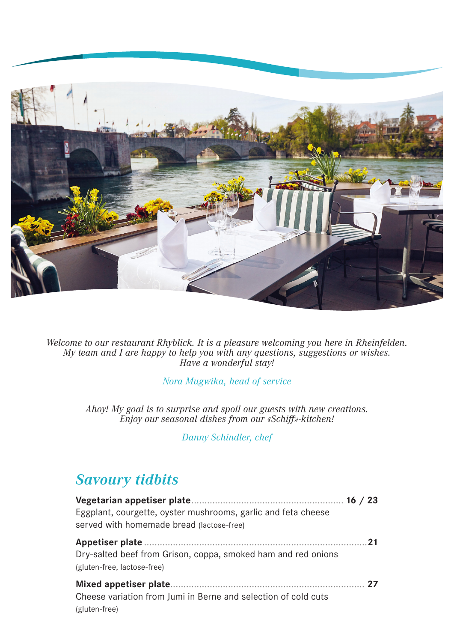

Welcome to our restaurant Rhyblick. It is a pleasure welcoming you here in Rheinfelden.<br>My team and I are happy to help you with any questions, suggestions or wishes.<br>Have a wonderful stay!

Nora Mugwika, head of service

Ahoy! My goal is to surprise and spoil our guests with new creations. Enjoy our seasonal dishes from our «Schiff»-kitchen!

Danny Schindler, chef

### **Savoury tidbits**

| Eggplant, courgette, oyster mushrooms, garlic and feta cheese<br>served with homemade bread (lactose-free) |    |
|------------------------------------------------------------------------------------------------------------|----|
| Dry-salted beef from Grison, coppa, smoked ham and red onions<br>(gluten-free, lactose-free)               | 21 |
| Cheese variation from Jumi in Berne and selection of cold cuts<br>(gluten-free)                            |    |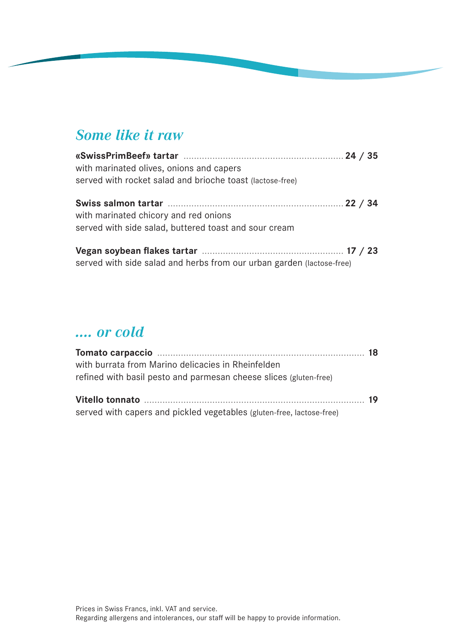### **Some like it raw**

| with marinated olives, onions and capers<br>served with rocket salad and brioche toast (lactose-free) |  |
|-------------------------------------------------------------------------------------------------------|--|
| with marinated chicory and red onions<br>served with side salad, buttered toast and sour cream        |  |
| served with side salad and herbs from our urban garden (lactose-free)                                 |  |

### .... or cold

| with burrata from Marino delicacies in Rheinfelden                    |  |
|-----------------------------------------------------------------------|--|
| refined with basil pesto and parmesan cheese slices (gluten-free)     |  |
|                                                                       |  |
|                                                                       |  |
| served with capers and pickled vegetables (gluten-free, lactose-free) |  |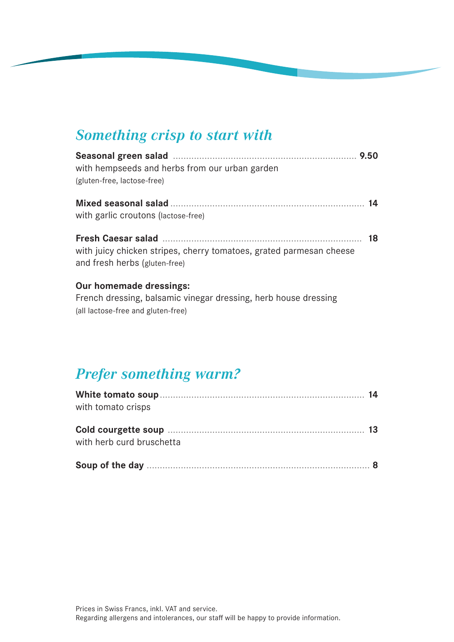### **Something crisp to start with**

|                                                                                                      | 9.50 |
|------------------------------------------------------------------------------------------------------|------|
| with hempseeds and herbs from our urban garden                                                       |      |
| (gluten-free, lactose-free)                                                                          |      |
| with garlic croutons (lactose-free)                                                                  |      |
| with juicy chicken stripes, cherry tomatoes, grated parmesan cheese<br>and fresh herbs (gluten-free) | 18   |
| <b>Our homemade dressings:</b>                                                                       |      |

French dressing, balsamic vinegar dressing, herb house dressing (all lactose-free and gluten-free)

# **Prefer something warm?**

| with tomato crisps        |  |
|---------------------------|--|
| with herb curd bruschetta |  |
|                           |  |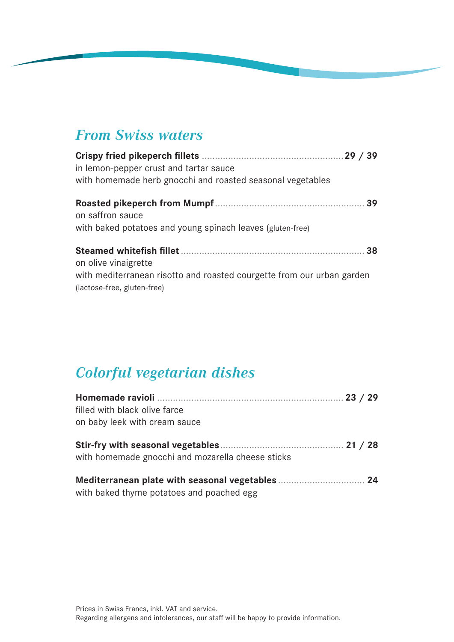### **From Swiss waters**

| in lemon-pepper crust and tartar sauce<br>with homemade herb gnocchi and roasted seasonal vegetables                          | 29/39 |
|-------------------------------------------------------------------------------------------------------------------------------|-------|
| on saffron sauce<br>with baked potatoes and young spinach leaves (gluten-free)                                                |       |
| on olive vinaigrette<br>with mediterranean risotto and roasted courgette from our urban garden<br>(lactose-free, gluten-free) |       |

# **Colorful vegetarian dishes**

| filled with black olive farce<br>on baby leek with cream sauce |  |  |
|----------------------------------------------------------------|--|--|
| with homemade gnocchi and mozarella cheese sticks              |  |  |
| with baked thyme potatoes and poached egg                      |  |  |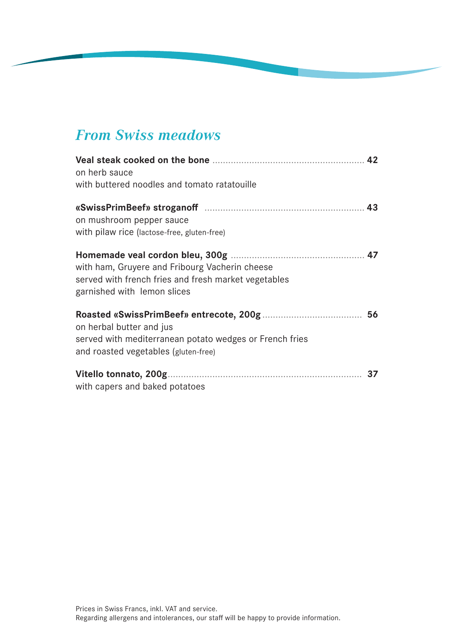# **From Swiss meadows**

| on herb sauce<br>with buttered noodles and tomato ratatouille                                                                         |  |
|---------------------------------------------------------------------------------------------------------------------------------------|--|
| on mushroom pepper sauce<br>with pilaw rice (lactose-free, gluten-free)                                                               |  |
| with ham, Gruyere and Fribourg Vacherin cheese<br>served with french fries and fresh market vegetables<br>garnished with lemon slices |  |
| on herbal butter and jus<br>served with mediterranean potato wedges or French fries<br>and roasted vegetables (gluten-free)           |  |
| with capers and baked potatoes                                                                                                        |  |